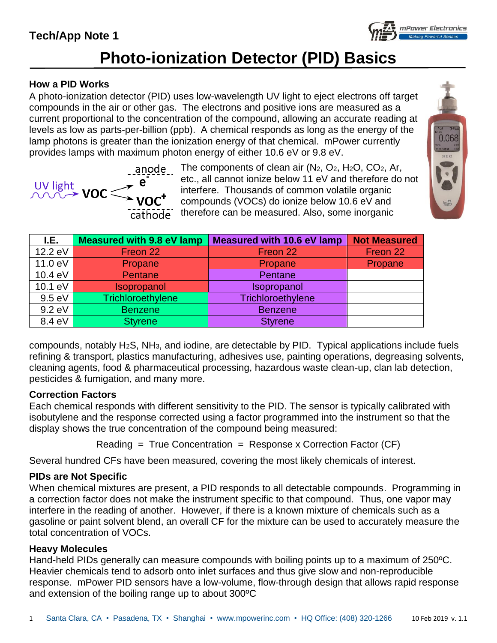# **Tech/App Note 1**



### **How a PID Works**

A photo-ionization detector (PID) uses low-wavelength UV light to eject electrons off target compounds in the air or other gas. The electrons and positive ions are measured as a current proportional to the concentration of the compound, allowing an accurate reading at levels as low as parts-per-billion (ppb). A chemical responds as long as the energy of the lamp photons is greater than the ionization energy of that chemical. mPower currently provides lamps with maximum photon energy of either 10.6 eV or 9.8 eV.

 $\frac{100 \text{ light}}{1000 \text{ cm}^2} \text{ VOC}^+$ cathode

The components of clean air  $(N_2, O_2, H_2O, CO_2, Ar,$ etc., all cannot ionize below 11 eV and therefore do not interfere. Thousands of common volatile organic compounds (VOCs) do ionize below 10.6 eV and therefore can be measured. Also, some inorganic



mPower Electronics

| I.E.    | <b>Measured with 9.8 eV lamp</b> | <b>Measured with 10.6 eV lamp</b> | <b>Not Measured</b> |
|---------|----------------------------------|-----------------------------------|---------------------|
| 12.2 eV | Freon 22                         | Freon 22                          | Freon 22            |
| 11.0 eV | Propane                          | Propane                           | Propane             |
| 10.4 eV | <b>Pentane</b>                   | Pentane                           |                     |
| 10.1 eV | Isopropanol                      | Isopropanol                       |                     |
| 9.5 eV  | Trichloroethylene                | Trichloroethylene                 |                     |
| 9.2 eV  | <b>Benzene</b>                   | <b>Benzene</b>                    |                     |
| 8.4 eV  | <b>Styrene</b>                   | <b>Styrene</b>                    |                     |

compounds, notably H2S, NH3, and iodine, are detectable by PID. Typical applications include fuels refining & transport, plastics manufacturing, adhesives use, painting operations, degreasing solvents, cleaning agents, food & pharmaceutical processing, hazardous waste clean-up, clan lab detection, pesticides & fumigation, and many more.

### **Correction Factors**

Each chemical responds with different sensitivity to the PID. The sensor is typically calibrated with isobutylene and the response corrected using a factor programmed into the instrument so that the display shows the true concentration of the compound being measured:

 $Reading = True Concentration = Response x Correction Factor (CF)$ 

Several hundred CFs have been measured, covering the most likely chemicals of interest.

### **PIDs are Not Specific**

When chemical mixtures are present, a PID responds to all detectable compounds. Programming in a correction factor does not make the instrument specific to that compound. Thus, one vapor may interfere in the reading of another. However, if there is a known mixture of chemicals such as a gasoline or paint solvent blend, an overall CF for the mixture can be used to accurately measure the total concentration of VOCs.

### **Heavy Molecules**

Hand-held PIDs generally can measure compounds with boiling points up to a maximum of 250ºC. Heavier chemicals tend to adsorb onto inlet surfaces and thus give slow and non-reproducible response. mPower PID sensors have a low-volume, flow-through design that allows rapid response and extension of the boiling range up to about 300ºC